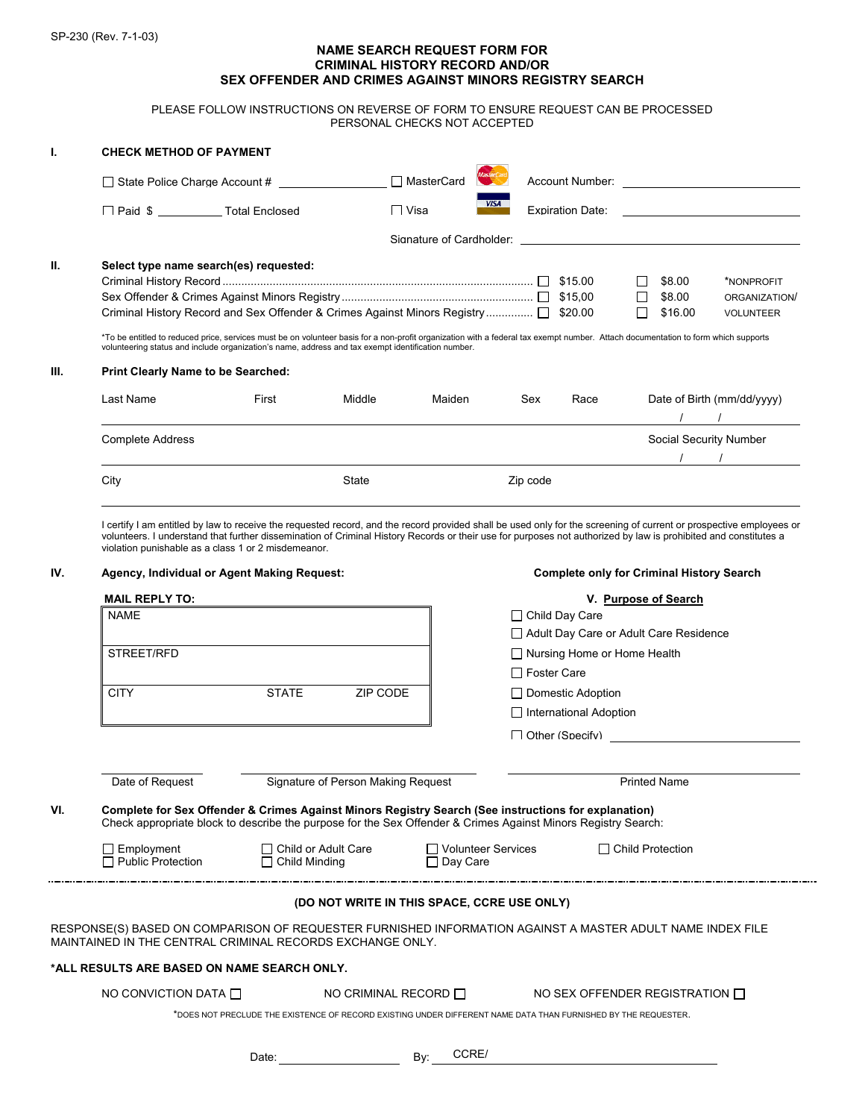## **NAME SEARCH REQUEST FORM FOR CRIMINAL HISTORY RECORD AND/OR SEX OFFENDER AND CRIMES AGAINST MINORS REGISTRY SEARCH**

PLEASE FOLLOW INSTRUCTIONS ON REVERSE OF FORM TO ENSURE REQUEST CAN BE PROCESSED PERSONAL CHECKS NOT ACCEPTED

| т.                                                                                                             | <b>CHECK METHOD OF PAYMENT</b>                                                                                                                                                                                                                                                                                                                                                                                            |                                                                                                                                                                                                                       |                                                                                                                                                                                                                                                                                                                                                                                                                                             |                                       |                                        |                          |                                          |                                                                                                                                                                                                                                                                                                                                                   |  |  |  |  |
|----------------------------------------------------------------------------------------------------------------|---------------------------------------------------------------------------------------------------------------------------------------------------------------------------------------------------------------------------------------------------------------------------------------------------------------------------------------------------------------------------------------------------------------------------|-----------------------------------------------------------------------------------------------------------------------------------------------------------------------------------------------------------------------|---------------------------------------------------------------------------------------------------------------------------------------------------------------------------------------------------------------------------------------------------------------------------------------------------------------------------------------------------------------------------------------------------------------------------------------------|---------------------------------------|----------------------------------------|--------------------------|------------------------------------------|---------------------------------------------------------------------------------------------------------------------------------------------------------------------------------------------------------------------------------------------------------------------------------------------------------------------------------------------------|--|--|--|--|
|                                                                                                                | State Police Charge Account # ____________                                                                                                                                                                                                                                                                                                                                                                                |                                                                                                                                                                                                                       |                                                                                                                                                                                                                                                                                                                                                                                                                                             | □ MasterCard                          |                                        |                          |                                          |                                                                                                                                                                                                                                                                                                                                                   |  |  |  |  |
|                                                                                                                | □ Paid \$ ____________ Total Enclosed                                                                                                                                                                                                                                                                                                                                                                                     |                                                                                                                                                                                                                       | <b>□</b> Visa                                                                                                                                                                                                                                                                                                                                                                                                                               | <b>VISA</b>                           |                                        |                          |                                          |                                                                                                                                                                                                                                                                                                                                                   |  |  |  |  |
|                                                                                                                |                                                                                                                                                                                                                                                                                                                                                                                                                           |                                                                                                                                                                                                                       |                                                                                                                                                                                                                                                                                                                                                                                                                                             |                                       |                                        |                          |                                          |                                                                                                                                                                                                                                                                                                                                                   |  |  |  |  |
| Ш.                                                                                                             | Select type name search(es) requested:<br>Criminal History Record and Sex Offender & Crimes Against Minors Registry  □ \$20.00<br>*To be entitled to reduced price, services must be on volunteer basis for a non-profit organization with a federal tax exempt number. Attach documentation to form which supports<br>volunteering status and include organization's name, address and tax exempt identification number. |                                                                                                                                                                                                                       |                                                                                                                                                                                                                                                                                                                                                                                                                                             |                                       |                                        |                          | \$8.00<br>\$8.00<br>\$16.00              | *NONPROFIT<br>ORGANIZATION/<br><b>VOLUNTEER</b>                                                                                                                                                                                                                                                                                                   |  |  |  |  |
| III.                                                                                                           | <b>Print Clearly Name to be Searched:</b>                                                                                                                                                                                                                                                                                                                                                                                 |                                                                                                                                                                                                                       |                                                                                                                                                                                                                                                                                                                                                                                                                                             |                                       |                                        |                          |                                          |                                                                                                                                                                                                                                                                                                                                                   |  |  |  |  |
|                                                                                                                | Last Name                                                                                                                                                                                                                                                                                                                                                                                                                 | First                                                                                                                                                                                                                 | Middle                                                                                                                                                                                                                                                                                                                                                                                                                                      | Maiden                                | Sex                                    | Race                     |                                          | Date of Birth (mm/dd/yyyy)<br>$\frac{1}{2}$ $\frac{1}{2}$ $\frac{1}{2}$ $\frac{1}{2}$ $\frac{1}{2}$ $\frac{1}{2}$ $\frac{1}{2}$ $\frac{1}{2}$ $\frac{1}{2}$ $\frac{1}{2}$ $\frac{1}{2}$ $\frac{1}{2}$ $\frac{1}{2}$ $\frac{1}{2}$ $\frac{1}{2}$ $\frac{1}{2}$ $\frac{1}{2}$ $\frac{1}{2}$ $\frac{1}{2}$ $\frac{1}{2}$ $\frac{1}{2}$ $\frac{1}{2}$ |  |  |  |  |
|                                                                                                                | Complete Address                                                                                                                                                                                                                                                                                                                                                                                                          |                                                                                                                                                                                                                       |                                                                                                                                                                                                                                                                                                                                                                                                                                             |                                       |                                        |                          |                                          | Social Security Number                                                                                                                                                                                                                                                                                                                            |  |  |  |  |
|                                                                                                                | City                                                                                                                                                                                                                                                                                                                                                                                                                      |                                                                                                                                                                                                                       | State                                                                                                                                                                                                                                                                                                                                                                                                                                       |                                       | Zip code                               |                          |                                          |                                                                                                                                                                                                                                                                                                                                                   |  |  |  |  |
| IV.                                                                                                            | violation punishable as a class 1 or 2 misdemeanor.<br>Agency, Individual or Agent Making Request:<br><b>MAIL REPLY TO:</b><br><b>NAME</b>                                                                                                                                                                                                                                                                                |                                                                                                                                                                                                                       | I certify I am entitled by law to receive the requested record, and the record provided shall be used only for the screening of current or prospective employees or<br>volunteers. I understand that further dissemination of Criminal History Records or their use for purposes not authorized by law is prohibited and constitutes a<br><b>Complete only for Criminal History Search</b><br>V. Purpose of Search<br>$\Box$ Child Day Care |                                       |                                        |                          |                                          |                                                                                                                                                                                                                                                                                                                                                   |  |  |  |  |
|                                                                                                                |                                                                                                                                                                                                                                                                                                                                                                                                                           |                                                                                                                                                                                                                       |                                                                                                                                                                                                                                                                                                                                                                                                                                             |                                       | Adult Day Care or Adult Care Residence |                          |                                          |                                                                                                                                                                                                                                                                                                                                                   |  |  |  |  |
|                                                                                                                | STREET/RFD                                                                                                                                                                                                                                                                                                                                                                                                                |                                                                                                                                                                                                                       |                                                                                                                                                                                                                                                                                                                                                                                                                                             |                                       | $\Box$ Nursing Home or Home Health     |                          |                                          |                                                                                                                                                                                                                                                                                                                                                   |  |  |  |  |
|                                                                                                                | <b>CITY</b>                                                                                                                                                                                                                                                                                                                                                                                                               | <b>STATE</b>                                                                                                                                                                                                          | ZIP CODE                                                                                                                                                                                                                                                                                                                                                                                                                                    |                                       | □ Foster Care                          | $\Box$ Domestic Adoption |                                          |                                                                                                                                                                                                                                                                                                                                                   |  |  |  |  |
|                                                                                                                |                                                                                                                                                                                                                                                                                                                                                                                                                           |                                                                                                                                                                                                                       |                                                                                                                                                                                                                                                                                                                                                                                                                                             |                                       | $\Box$ International Adoption          |                          |                                          |                                                                                                                                                                                                                                                                                                                                                   |  |  |  |  |
|                                                                                                                |                                                                                                                                                                                                                                                                                                                                                                                                                           |                                                                                                                                                                                                                       |                                                                                                                                                                                                                                                                                                                                                                                                                                             |                                       |                                        |                          | □ Other (Specify) <u>_______________</u> |                                                                                                                                                                                                                                                                                                                                                   |  |  |  |  |
|                                                                                                                |                                                                                                                                                                                                                                                                                                                                                                                                                           |                                                                                                                                                                                                                       |                                                                                                                                                                                                                                                                                                                                                                                                                                             |                                       |                                        |                          |                                          |                                                                                                                                                                                                                                                                                                                                                   |  |  |  |  |
|                                                                                                                | Date of Request                                                                                                                                                                                                                                                                                                                                                                                                           |                                                                                                                                                                                                                       | Signature of Person Making Request                                                                                                                                                                                                                                                                                                                                                                                                          |                                       |                                        |                          | <b>Printed Name</b>                      |                                                                                                                                                                                                                                                                                                                                                   |  |  |  |  |
| VI.                                                                                                            |                                                                                                                                                                                                                                                                                                                                                                                                                           | Complete for Sex Offender & Crimes Against Minors Registry Search (See instructions for explanation)<br>Check appropriate block to describe the purpose for the Sex Offender & Crimes Against Minors Registry Search: |                                                                                                                                                                                                                                                                                                                                                                                                                                             |                                       |                                        |                          |                                          |                                                                                                                                                                                                                                                                                                                                                   |  |  |  |  |
|                                                                                                                | $\Box$ Employment<br>$\Box$ Public Protection                                                                                                                                                                                                                                                                                                                                                                             | □ Child or Adult Care<br>$\Box$ Child Minding                                                                                                                                                                         |                                                                                                                                                                                                                                                                                                                                                                                                                                             | Volunteer Services<br>$\Box$ Day Care |                                        |                          | $\Box$ Child Protection                  |                                                                                                                                                                                                                                                                                                                                                   |  |  |  |  |
| (DO NOT WRITE IN THIS SPACE, CCRE USE ONLY)                                                                    |                                                                                                                                                                                                                                                                                                                                                                                                                           |                                                                                                                                                                                                                       |                                                                                                                                                                                                                                                                                                                                                                                                                                             |                                       |                                        |                          |                                          |                                                                                                                                                                                                                                                                                                                                                   |  |  |  |  |
|                                                                                                                | RESPONSE(S) BASED ON COMPARISON OF REQUESTER FURNISHED INFORMATION AGAINST A MASTER ADULT NAME INDEX FILE<br>MAINTAINED IN THE CENTRAL CRIMINAL RECORDS EXCHANGE ONLY.                                                                                                                                                                                                                                                    |                                                                                                                                                                                                                       |                                                                                                                                                                                                                                                                                                                                                                                                                                             |                                       |                                        |                          |                                          |                                                                                                                                                                                                                                                                                                                                                   |  |  |  |  |
| *ALL RESULTS ARE BASED ON NAME SEARCH ONLY.                                                                    |                                                                                                                                                                                                                                                                                                                                                                                                                           |                                                                                                                                                                                                                       |                                                                                                                                                                                                                                                                                                                                                                                                                                             |                                       |                                        |                          |                                          |                                                                                                                                                                                                                                                                                                                                                   |  |  |  |  |
|                                                                                                                | NO CONVICTION DATA $\square$                                                                                                                                                                                                                                                                                                                                                                                              |                                                                                                                                                                                                                       | NO CRIMINAL RECORD $\Box$                                                                                                                                                                                                                                                                                                                                                                                                                   |                                       |                                        |                          | NO SEX OFFENDER REGISTRATION I           |                                                                                                                                                                                                                                                                                                                                                   |  |  |  |  |
| *DOES NOT PRECLUDE THE EXISTENCE OF RECORD EXISTING UNDER DIFFERENT NAME DATA THAN FURNISHED BY THE REQUESTER. |                                                                                                                                                                                                                                                                                                                                                                                                                           |                                                                                                                                                                                                                       |                                                                                                                                                                                                                                                                                                                                                                                                                                             |                                       |                                        |                          |                                          |                                                                                                                                                                                                                                                                                                                                                   |  |  |  |  |
|                                                                                                                |                                                                                                                                                                                                                                                                                                                                                                                                                           |                                                                                                                                                                                                                       |                                                                                                                                                                                                                                                                                                                                                                                                                                             | CCRE/<br>By:                          |                                        |                          |                                          |                                                                                                                                                                                                                                                                                                                                                   |  |  |  |  |